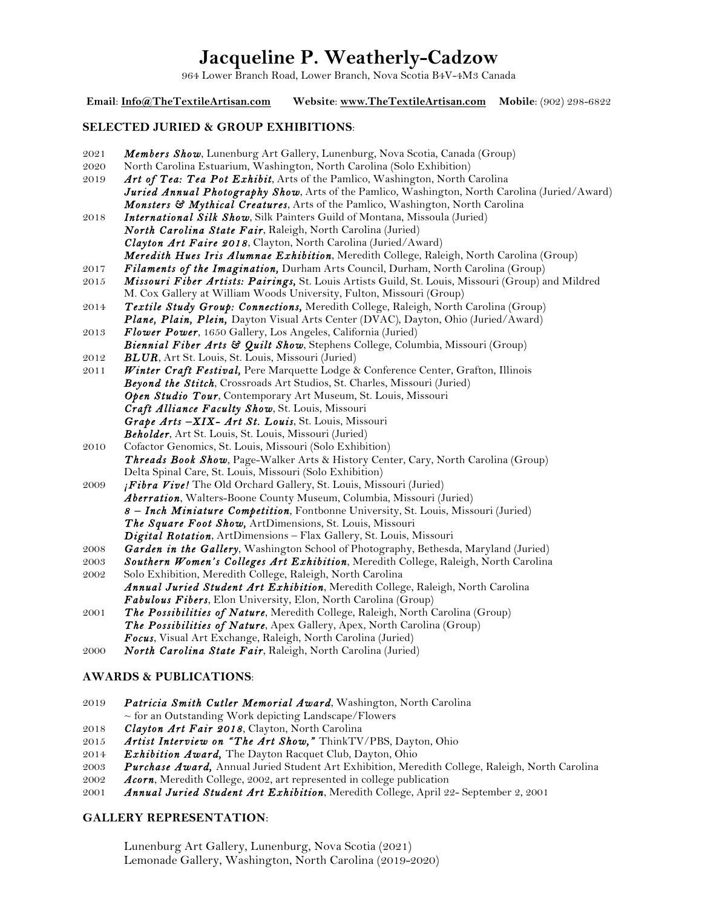# **Jacqueline P. Weatherly-Cadzow**

964 Lower Branch Road, Lower Branch, Nova Scotia B4V-4M3 Canada

**Email**: **Info@TheTextileArtisan.com Website**: **www.TheTextileArtisan.com Mobile**: (902) 298-6822 **SELECTED JURIED & GROUP EXHIBITIONS**: 2021 *Members Show*, Lunenburg Art Gallery, Lunenburg, Nova Scotia, Canada (Group) 2020 North Carolina Estuarium, Washington, North Carolina (Solo Exhibition) 2019 *Art of Tea: Tea Pot Exhibit*, Arts of the Pamlico, Washington, North Carolina *Juried Annual Photography Show*, Arts of the Pamlico, Washington, North Carolina (Juried/Award) *Monsters & Mythical Creatures*, Arts of the Pamlico, Washington, North Carolina 2018 *International Silk Show*, Silk Painters Guild of Montana, Missoula (Juried) *North Carolina State Fair*, Raleigh, North Carolina (Juried) *Clayton Art Faire 2018*, Clayton, North Carolina (Juried/Award)  *Meredith Hues Iris Alumnae Exhibition*, Meredith College, Raleigh, North Carolina (Group) 2017 *Filaments of the Imagination,* Durham Arts Council, Durham, North Carolina (Group) 2015 *Missouri Fiber Artists: Pairings,* St. Louis Artists Guild, St. Louis, Missouri (Group) and Mildred M. Cox Gallery at William Woods University, Fulton, Missouri (Group) 2014 *Textile Study Group: Connections,* Meredith College, Raleigh, North Carolina (Group) *Plane, Plain, Plein,* Dayton Visual Arts Center (DVAC), Dayton, Ohio (Juried/Award) 2013 *Flower Power*, 1650 Gallery, Los Angeles, California (Juried) *Biennial Fiber Arts & Quilt Show*, Stephens College, Columbia, Missouri (Group) 2012 *BLUR*, Art St. Louis, St. Louis, Missouri (Juried) 2011 **Winter Craft Festival, Pere Marquette Lodge & Conference Center, Grafton, Illinois** *Beyond the Stitch*, Crossroads Art Studios, St. Charles, Missouri (Juried) *Open Studio Tour*, Contemporary Art Museum, St. Louis, Missouri *Craft Alliance Faculty Show*, St. Louis, Missouri *Grape Arts –XIX- Art St. Louis*, St. Louis, Missouri *Beholder*, Art St. Louis, St. Louis, Missouri (Juried) 2010 Cofactor Genomics, St. Louis, Missouri (Solo Exhibition) *Threads Book Show*, Page-Walker Arts & History Center, Cary, North Carolina (Group) Delta Spinal Care, St. Louis, Missouri (Solo Exhibition) 2009 *¡Fibra Vive!* The Old Orchard Gallery, St. Louis, Missouri (Juried) *Aberration*, Walters-Boone County Museum, Columbia, Missouri (Juried) *8 – Inch Miniature Competition*, Fontbonne University, St. Louis, Missouri (Juried) *The Square Foot Show,* ArtDimensions, St. Louis, Missouri *Digital Rotation*, ArtDimensions – Flax Gallery, St. Louis, Missouri 2008 *Garden in the Gallery*, Washington School of Photography, Bethesda, Maryland (Juried) 2003 *Southern Women's Colleges Art Exhibition*, Meredith College, Raleigh, North Carolina 2002 Solo Exhibition, Meredith College, Raleigh, North Carolina *Annual Juried Student Art Exhibition*, Meredith College, Raleigh, North Carolina *Fabulous Fibers*, Elon University, Elon, North Carolina (Group) 2001 *The Possibilities of Nature*, Meredith College, Raleigh, North Carolina (Group) *The Possibilities of Nature*, Apex Gallery, Apex, North Carolina (Group) *Focus*, Visual Art Exchange, Raleigh, North Carolina (Juried) 2000 *North Carolina State Fair*, Raleigh, North Carolina (Juried) **AWARDS & PUBLICATIONS**: 2019 *Patricia Smith Cutler Memorial Award*, Washington, North Carolina  $\sim$  for an Outstanding Work depicting Landscape/Flowers

- 2018 *Clayton Art Fair 2018*, Clayton, North Carolina
- 2015 *Artist Interview on "The Art Show,"* ThinkTV/PBS, Dayton, Ohio
- 2014 *Exhibition Award,* The Dayton Racquet Club, Dayton, Ohio
- 2003 *Purchase Award,* Annual Juried Student Art Exhibition, Meredith College, Raleigh, North Carolina
- 2002 *Acorn*, Meredith College, 2002, art represented in college publication
- 2001 *Annual Juried Student Art Exhibition*, Meredith College, April 22- September 2, 2001

### **GALLERY REPRESENTATION**:

Lunenburg Art Gallery, Lunenburg, Nova Scotia (2021) Lemonade Gallery, Washington, North Carolina (2019-2020)